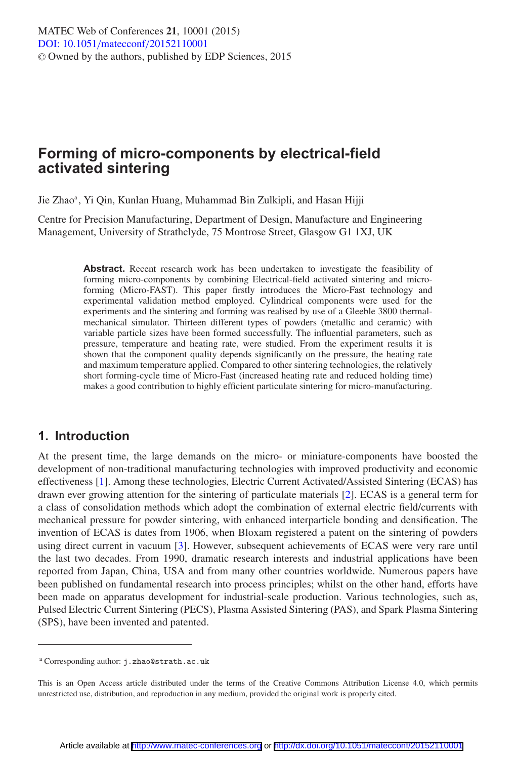# **Forming of micro-components by electrical-field activated sintering**

Jie Zhao<sup>a</sup>, Yi Qin, Kunlan Huang, Muhammad Bin Zulkipli, and Hasan Hijji

Centre for Precision Manufacturing, Department of Design, Manufacture and Engineering Management, University of Strathclyde, 75 Montrose Street, Glasgow G1 1XJ, UK

> **Abstract.** Recent research work has been undertaken to investigate the feasibility of forming micro-components by combining Electrical-field activated sintering and microforming (Micro-FAST). This paper firstly introduces the Micro-Fast technology and experimental validation method employed. Cylindrical components were used for the experiments and the sintering and forming was realised by use of a Gleeble 3800 thermalmechanical simulator. Thirteen different types of powders (metallic and ceramic) with variable particle sizes have been formed successfully. The influential parameters, such as pressure, temperature and heating rate, were studied. From the experiment results it is shown that the component quality depends significantly on the pressure, the heating rate and maximum temperature applied. Compared to other sintering technologies, the relatively short forming-cycle time of Micro-Fast (increased heating rate and reduced holding time) makes a good contribution to highly efficient particulate sintering for micro-manufacturing.

## **1. Introduction**

At the present time, the large demands on the micro- or miniature-components have boosted the development of non-traditional manufacturing technologies with improved productivity and economic effectiveness [\[1\]](#page-6-0). Among these technologies, Electric Current Activated/Assisted Sintering (ECAS) has drawn ever growing attention for the sintering of particulate materials [\[2\]](#page-6-1). ECAS is a general term for a class of consolidation methods which adopt the combination of external electric field/currents with mechanical pressure for powder sintering, with enhanced interparticle bonding and densification. The invention of ECAS is dates from 1906, when Bloxam registered a patent on the sintering of powders using direct current in vacuum [\[3](#page-6-2)]. However, subsequent achievements of ECAS were very rare until the last two decades. From 1990, dramatic research interests and industrial applications have been reported from Japan, China, USA and from many other countries worldwide. Numerous papers have been published on fundamental research into process principles; whilst on the other hand, efforts have been made on apparatus development for industrial-scale production. Various technologies, such as, Pulsed Electric Current Sintering (PECS), Plasma Assisted Sintering (PAS), and Spark Plasma Sintering (SPS), have been invented and patented.

<sup>a</sup> Corresponding author: j.zhao@strath.ac.uk

This is an Open Access article distributed under the terms of the Creative Commons Attribution License 4.0, which permits unrestricted use, distribution, and reproduction in any medium, provided the original work is properly cited.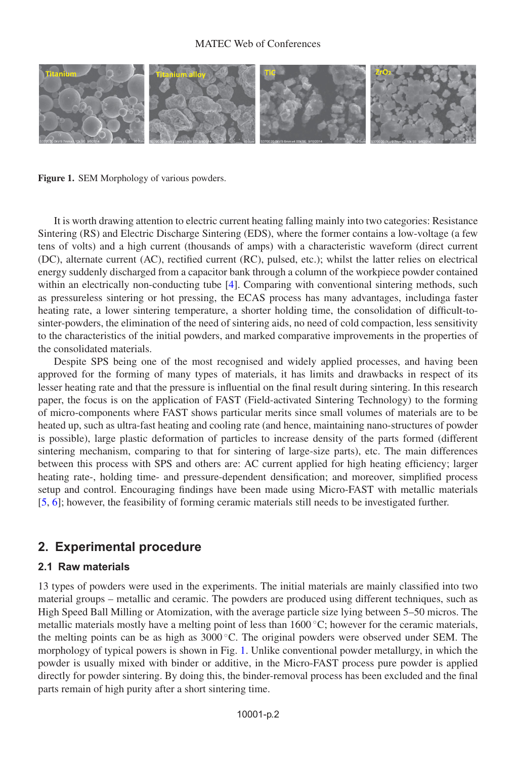<span id="page-1-0"></span>

**Figure 1.** SEM Morphology of various powders.

It is worth drawing attention to electric current heating falling mainly into two categories: Resistance Sintering (RS) and Electric Discharge Sintering (EDS), where the former contains a low-voltage (a few tens of volts) and a high current (thousands of amps) with a characteristic waveform (direct current (DC), alternate current (AC), rectified current (RC), pulsed, etc.); whilst the latter relies on electrical energy suddenly discharged from a capacitor bank through a column of the workpiece powder contained within an electrically non-conducting tube [\[4\]](#page-6-3). Comparing with conventional sintering methods, such as pressureless sintering or hot pressing, the ECAS process has many advantages, includinga faster heating rate, a lower sintering temperature, a shorter holding time, the consolidation of difficult-tosinter-powders, the elimination of the need of sintering aids, no need of cold compaction, less sensitivity to the characteristics of the initial powders, and marked comparative improvements in the properties of the consolidated materials.

Despite SPS being one of the most recognised and widely applied processes, and having been approved for the forming of many types of materials, it has limits and drawbacks in respect of its lesser heating rate and that the pressure is influential on the final result during sintering. In this research paper, the focus is on the application of FAST (Field-activated Sintering Technology) to the forming of micro-components where FAST shows particular merits since small volumes of materials are to be heated up, such as ultra-fast heating and cooling rate (and hence, maintaining nano-structures of powder is possible), large plastic deformation of particles to increase density of the parts formed (different sintering mechanism, comparing to that for sintering of large-size parts), etc. The main differences between this process with SPS and others are: AC current applied for high heating efficiency; larger heating rate-, holding time- and pressure-dependent densification; and moreover, simplified process setup and control. Encouraging findings have been made using Micro-FAST with metallic materials [\[5,](#page-6-4) [6\]](#page-6-5); however, the feasibility of forming ceramic materials still needs to be investigated further.

### **2. Experimental procedure**

#### **2.1 Raw materials**

13 types of powders were used in the experiments. The initial materials are mainly classified into two material groups – metallic and ceramic. The powders are produced using different techniques, such as High Speed Ball Milling or Atomization, with the average particle size lying between 5–50 micros. The metallic materials mostly have a melting point of less than 1600 ◦C; however for the ceramic materials, the melting points can be as high as 3000 ◦C. The original powders were observed under SEM. The morphology of typical powers is shown in Fig. [1.](#page-1-0) Unlike conventional powder metallurgy, in which the powder is usually mixed with binder or additive, in the Micro-FAST process pure powder is applied directly for powder sintering. By doing this, the binder-removal process has been excluded and the final parts remain of high purity after a short sintering time.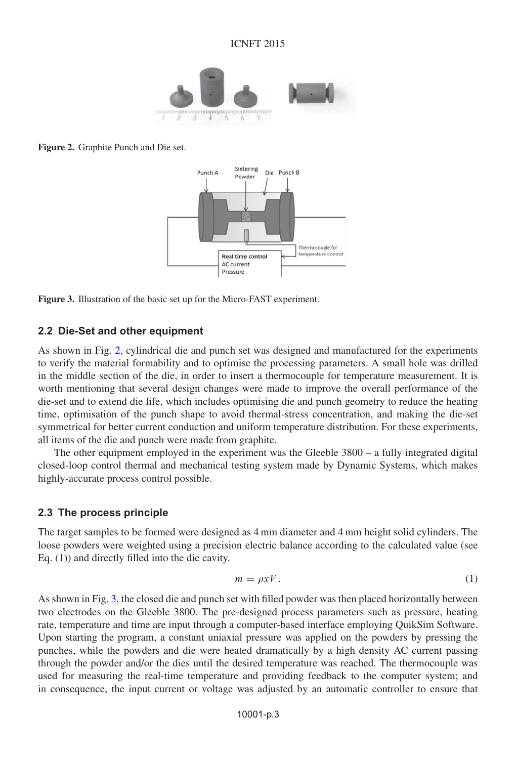

<span id="page-2-1"></span><span id="page-2-0"></span>**Figure 2.** Graphite Punch and Die set.





### **2.2 Die-Set and other equipment**

As shown in Fig. [2,](#page-2-0) cylindrical die and punch set was designed and manufactured for the experiments to verify the material formability and to optimise the processing parameters. A small hole was drilled in the middle section of the die, in order to insert a thermocouple for temperature measurement. It is worth mentioning that several design changes were made to improve the overall performance of the die-set and to extend die life, which includes optimising die and punch geometry to reduce the heating time, optimisation of the punch shape to avoid thermal-stress concentration, and making the die-set symmetrical for better current conduction and uniform temperature distribution. For these experiments, all items of the die and punch were made from graphite.

The other equipment employed in the experiment was the Gleeble 3800 – a fully integrated digital closed-loop control thermal and mechanical testing system made by Dynamic Systems, which makes highly-accurate process control possible.

#### **2.3 The process principle**

The target samples to be formed were designed as 4 mm diameter and 4 mm height solid cylinders. The loose powders were weighted using a precision electric balance according to the calculated value (see Eq. (1)) and directly filled into the die cavity.

$$
m = \rho x V. \tag{1}
$$

As shown in Fig. [3,](#page-2-1) the closed die and punch set with filled powder was then placed horizontally between two electrodes on the Gleeble 3800. The pre-designed process parameters such as pressure, heating rate, temperature and time are input through a computer-based interface employing QuikSim Software. Upon starting the program, a constant uniaxial pressure was applied on the powders by pressing the punches, while the powders and die were heated dramatically by a high density AC current passing through the powder and/or the dies until the desired temperature was reached. The thermocouple was used for measuring the real-time temperature and providing feedback to the computer system; and in consequence, the input current or voltage was adjusted by an automatic controller to ensure that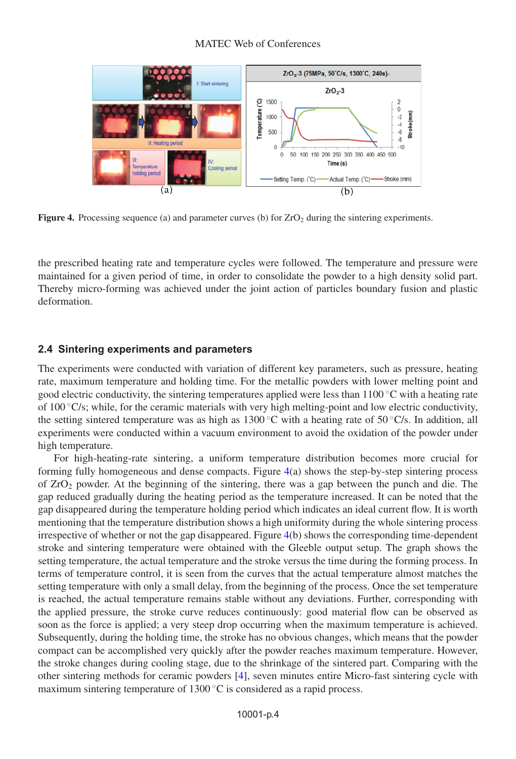### MATEC Web of Conferences

<span id="page-3-0"></span>

**Figure 4.** Processing sequence (a) and parameter curves (b) for  $ZrO<sub>2</sub>$  during the sintering experiments.

the prescribed heating rate and temperature cycles were followed. The temperature and pressure were maintained for a given period of time, in order to consolidate the powder to a high density solid part. Thereby micro-forming was achieved under the joint action of particles boundary fusion and plastic deformation.

### **2.4 Sintering experiments and parameters**

The experiments were conducted with variation of different key parameters, such as pressure, heating rate, maximum temperature and holding time. For the metallic powders with lower melting point and good electric conductivity, the sintering temperatures applied were less than  $1100 °C$  with a heating rate of  $100^\circ$ C/s; while, for the ceramic materials with very high melting-point and low electric conductivity, the setting sintered temperature was as high as 1300 °C with a heating rate of 50 °C/s. In addition, all experiments were conducted within a vacuum environment to avoid the oxidation of the powder under high temperature.

For high-heating-rate sintering, a uniform temperature distribution becomes more crucial for forming fully homogeneous and dense compacts. Figure [4\(](#page-3-0)a) shows the step-by-step sintering process of ZrO2 powder. At the beginning of the sintering, there was a gap between the punch and die. The gap reduced gradually during the heating period as the temperature increased. It can be noted that the gap disappeared during the temperature holding period which indicates an ideal current flow. It is worth mentioning that the temperature distribution shows a high uniformity during the whole sintering process irrespective of whether or not the gap disappeared. Figure [4\(](#page-3-0)b) shows the corresponding time-dependent stroke and sintering temperature were obtained with the Gleeble output setup. The graph shows the setting temperature, the actual temperature and the stroke versus the time during the forming process. In terms of temperature control, it is seen from the curves that the actual temperature almost matches the setting temperature with only a small delay, from the beginning of the process. Once the set temperature is reached, the actual temperature remains stable without any deviations. Further, corresponding with the applied pressure, the stroke curve reduces continuously: good material flow can be observed as soon as the force is applied; a very steep drop occurring when the maximum temperature is achieved. Subsequently, during the holding time, the stroke has no obvious changes, which means that the powder compact can be accomplished very quickly after the powder reaches maximum temperature. However, the stroke changes during cooling stage, due to the shrinkage of the sintered part. Comparing with the other sintering methods for ceramic powders [\[4\]](#page-6-3), seven minutes entire Micro-fast sintering cycle with maximum sintering temperature of 1300 ℃ is considered as a rapid process.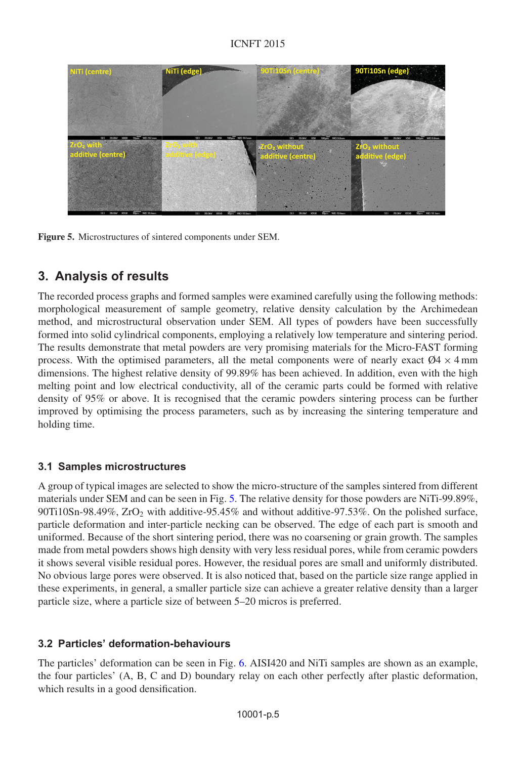<span id="page-4-0"></span>

**Figure 5.** Microstructures of sintered components under SEM.

# **3. Analysis of results**

The recorded process graphs and formed samples were examined carefully using the following methods: morphological measurement of sample geometry, relative density calculation by the Archimedean method, and microstructural observation under SEM. All types of powders have been successfully formed into solid cylindrical components, employing a relatively low temperature and sintering period. The results demonstrate that metal powders are very promising materials for the Micro-FAST forming process. With the optimised parameters, all the metal components were of nearly exact  $\varnothing$ 4 × 4 mm dimensions. The highest relative density of 99.89% has been achieved. In addition, even with the high melting point and low electrical conductivity, all of the ceramic parts could be formed with relative density of 95% or above. It is recognised that the ceramic powders sintering process can be further improved by optimising the process parameters, such as by increasing the sintering temperature and holding time.

## **3.1 Samples microstructures**

A group of typical images are selected to show the micro-structure of the samples sintered from different materials under SEM and can be seen in Fig. [5.](#page-4-0) The relative density for those powders are NiTi-99.89%, 90Ti10Sn-98.49%, ZrO2 with additive-95.45% and without additive-97.53%. On the polished surface, particle deformation and inter-particle necking can be observed. The edge of each part is smooth and uniformed. Because of the short sintering period, there was no coarsening or grain growth. The samples made from metal powders shows high density with very less residual pores, while from ceramic powders it shows several visible residual pores. However, the residual pores are small and uniformly distributed. No obvious large pores were observed. It is also noticed that, based on the particle size range applied in these experiments, in general, a smaller particle size can achieve a greater relative density than a larger particle size, where a particle size of between 5–20 micros is preferred.

## **3.2 Particles' deformation-behaviours**

The particles' deformation can be seen in Fig. [6.](#page-5-0) AISI420 and NiTi samples are shown as an example, the four particles' (A, B, C and D) boundary relay on each other perfectly after plastic deformation, which results in a good densification.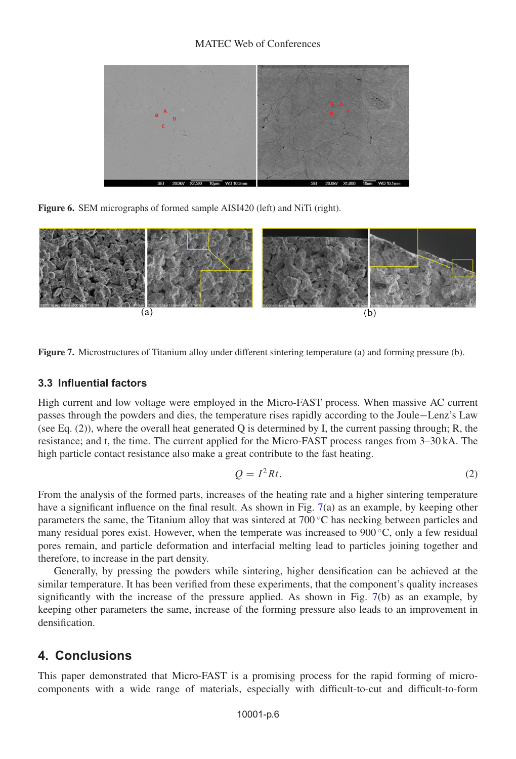### MATEC Web of Conferences

<span id="page-5-0"></span>

**Figure 6.** SEM micrographs of formed sample AISI420 (left) and NiTi (right).

<span id="page-5-1"></span>

**Figure 7.** Microstructures of Titanium alloy under different sintering temperature (a) and forming pressure (b).

### **3.3 Influential factors**

High current and low voltage were employed in the Micro-FAST process. When massive AC current passes through the powders and dies, the temperature rises rapidly according to the Joule−Lenz's Law (see Eq. (2)), where the overall heat generated Q is determined by I, the current passing through; R, the resistance; and t, the time. The current applied for the Micro-FAST process ranges from 3–30 kA. The high particle contact resistance also make a great contribute to the fast heating.

$$
Q = I^2 R t. \tag{2}
$$

From the analysis of the formed parts, increases of the heating rate and a higher sintering temperature have a significant influence on the final result. As shown in Fig. [7\(](#page-5-1)a) as an example, by keeping other parameters the same, the Titanium alloy that was sintered at 700 ◦C has necking between particles and many residual pores exist. However, when the temperate was increased to  $900 °C$ , only a few residual pores remain, and particle deformation and interfacial melting lead to particles joining together and therefore, to increase in the part density.

Generally, by pressing the powders while sintering, higher densification can be achieved at the similar temperature. It has been verified from these experiments, that the component's quality increases significantly with the increase of the pressure applied. As shown in Fig. [7\(](#page-5-1)b) as an example, by keeping other parameters the same, increase of the forming pressure also leads to an improvement in densification.

## **4. Conclusions**

This paper demonstrated that Micro-FAST is a promising process for the rapid forming of microcomponents with a wide range of materials, especially with difficult-to-cut and difficult-to-form